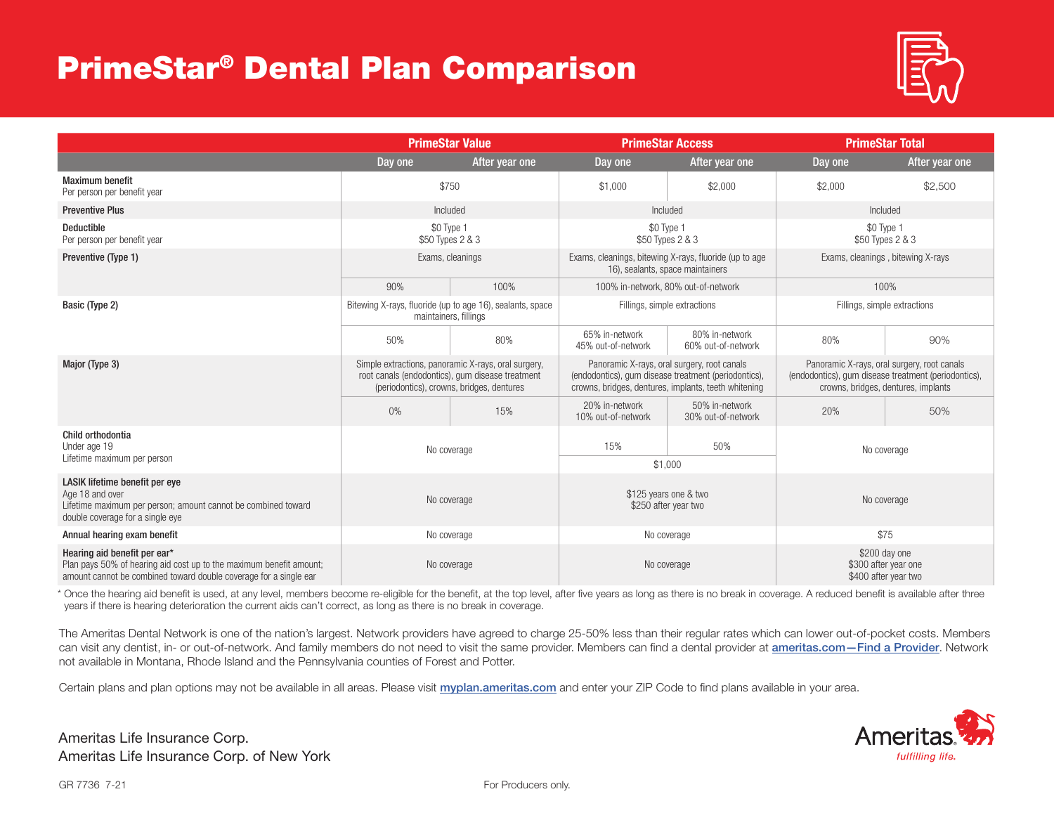## PrimeStar® Dental Plan Comparison



|                                                                                                                                                                          | <b>PrimeStar Value</b>                                                                                                                               |                | <b>PrimeStar Access</b>                                                                                                                                     |                                      | <b>PrimeStar Total</b>                                                                                                                     |                |  |
|--------------------------------------------------------------------------------------------------------------------------------------------------------------------------|------------------------------------------------------------------------------------------------------------------------------------------------------|----------------|-------------------------------------------------------------------------------------------------------------------------------------------------------------|--------------------------------------|--------------------------------------------------------------------------------------------------------------------------------------------|----------------|--|
|                                                                                                                                                                          | Day one                                                                                                                                              | After year one | Day one                                                                                                                                                     | After year one                       | Day one                                                                                                                                    | After year one |  |
| <b>Maximum benefit</b><br>Per person per benefit year                                                                                                                    | \$750                                                                                                                                                |                | \$1,000                                                                                                                                                     | \$2,000                              | \$2,000                                                                                                                                    | \$2,500        |  |
| <b>Preventive Plus</b>                                                                                                                                                   | Included                                                                                                                                             |                | Included                                                                                                                                                    |                                      | Included                                                                                                                                   |                |  |
| <b>Deductible</b><br>Per person per benefit year                                                                                                                         | \$0 Type 1<br>\$50 Types 2 & 3                                                                                                                       |                | \$0 Type 1<br>\$50 Types 2 & 3                                                                                                                              |                                      | \$0 Type 1<br>\$50 Types 2 & 3                                                                                                             |                |  |
| Preventive (Type 1)                                                                                                                                                      | Exams, cleanings                                                                                                                                     |                | Exams, cleanings, bitewing X-rays, fluoride (up to age<br>16), sealants, space maintainers                                                                  |                                      | Exams, cleanings, bitewing X-rays                                                                                                          |                |  |
|                                                                                                                                                                          | 90%<br>100%<br>100% in-network, 80% out-of-network                                                                                                   |                |                                                                                                                                                             | 100%                                 |                                                                                                                                            |                |  |
| Basic (Type 2)                                                                                                                                                           | Bitewing X-rays, fluoride (up to age 16), sealants, space<br>maintainers, fillings                                                                   |                | Fillings, simple extractions                                                                                                                                |                                      | Fillings, simple extractions                                                                                                               |                |  |
|                                                                                                                                                                          | 50%                                                                                                                                                  | 80%            | 65% in-network<br>45% out-of-network                                                                                                                        | 80% in-network<br>60% out-of-network | 80%                                                                                                                                        | 90%            |  |
| Major (Type 3)                                                                                                                                                           | Simple extractions, panoramic X-rays, oral surgery,<br>root canals (endodontics), gum disease treatment<br>(periodontics), crowns, bridges, dentures |                | Panoramic X-rays, oral surgery, root canals<br>(endodontics), gum disease treatment (periodontics),<br>crowns, bridges, dentures, implants, teeth whitening |                                      | Panoramic X-rays, oral surgery, root canals<br>(endodontics), gum disease treatment (periodontics),<br>crowns, bridges, dentures, implants |                |  |
|                                                                                                                                                                          | $0\%$                                                                                                                                                | 15%            | 20% in-network<br>10% out-of-network                                                                                                                        | 50% in-network<br>30% out-of-network | 20%                                                                                                                                        | 50%            |  |
| Child orthodontia<br>Under age 19                                                                                                                                        | No coverage                                                                                                                                          |                | 15%                                                                                                                                                         | 50%                                  | No coverage                                                                                                                                |                |  |
| Lifetime maximum per person                                                                                                                                              |                                                                                                                                                      |                | \$1,000                                                                                                                                                     |                                      |                                                                                                                                            |                |  |
| LASIK lifetime benefit per eye<br>Age 18 and over<br>Lifetime maximum per person; amount cannot be combined toward<br>double coverage for a single eye                   | No coverage                                                                                                                                          |                | \$125 years one & two<br>\$250 after year two                                                                                                               |                                      | No coverage                                                                                                                                |                |  |
| Annual hearing exam benefit                                                                                                                                              | No coverage                                                                                                                                          |                | No coverage                                                                                                                                                 |                                      | \$75                                                                                                                                       |                |  |
| Hearing aid benefit per ear*<br>Plan pays 50% of hearing aid cost up to the maximum benefit amount;<br>amount cannot be combined toward double coverage for a single ear | No coverage                                                                                                                                          |                | No coverage                                                                                                                                                 |                                      | \$200 day one<br>\$300 after year one<br>\$400 after year two                                                                              |                |  |

\* Once the hearing aid benefit is used, at any level, members become re-eligible for the benefit, at the top level, after five years as long as there is no break in coverage. A reduced benefit is available after three years if there is hearing deterioration the current aids can't correct, as long as there is no break in coverage.

The Ameritas Dental Network is one of the nation's largest. Network providers have agreed to charge 25-50% less than their regular rates which can lower out-of-pocket costs. Members can visit any dentist, in- or out-of-network. And family members do not need to visit the same provider. Members can find a dental provider at ameritas.com-Find a Provider. Network not available in Montana, Rhode Island and the Pennsylvania counties of Forest and Potter.

Certain plans and plan options may not be available in all areas. Please visit myplan.ameritas.com and enter your ZIP Code to find plans available in your area.

Ameritas Life Insurance Corp. Ameritas Life Insurance Corp. of New York

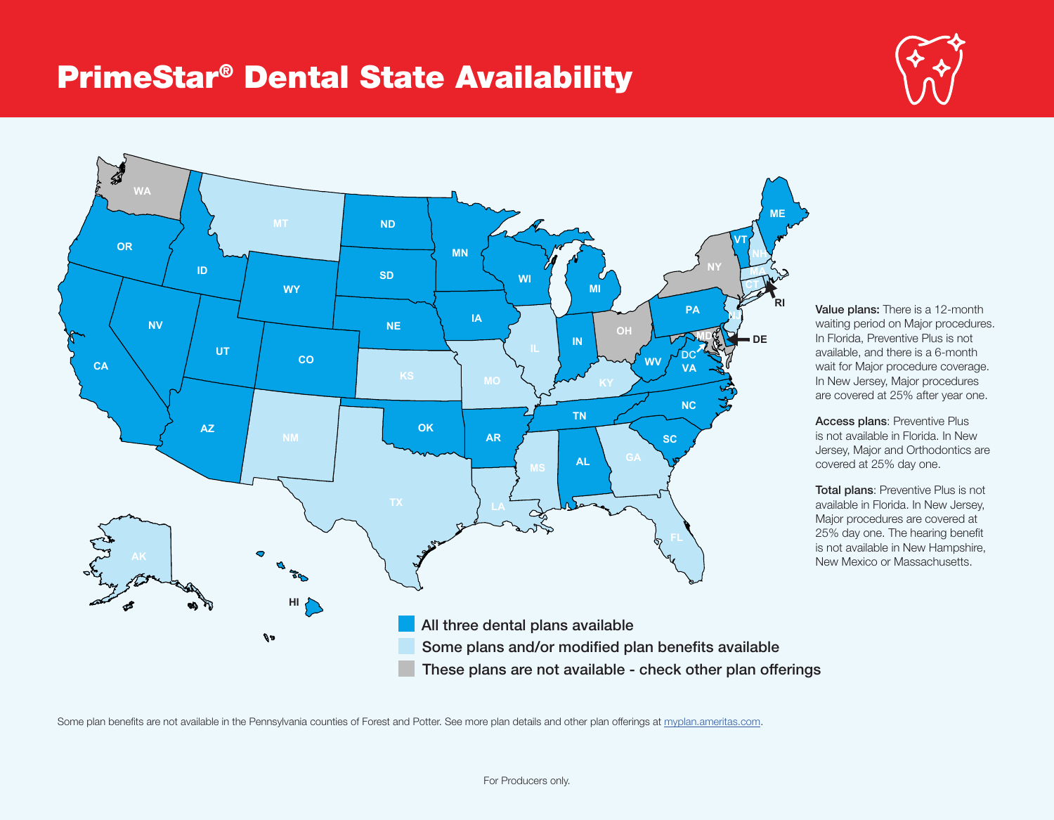## PrimeStar® Dental State Availability





Value plans: There is a 12-month waiting period on Major procedures. In Florida, Preventive Plus is not available, and there is a 6-month wait for Major procedure coverage. In New Jersey, Major procedures are covered at 25% after year one.

Access plans: Preventive Plus is not available in Florida. In New Jersey, Major and Orthodontics are covered at 25% day one.

Total plans: Preventive Plus is not available in Florida. In New Jersey, Major procedures are covered at 25% day one. The hearing benefit is not available in New Hampshire, New Mexico or Massachusetts.

These plans are not available - check other plan offerings

Some plan benefits are not available in the Pennsylvania counties of Forest and Potter. See more plan details and other plan offerings at myplan.ameritas.com.